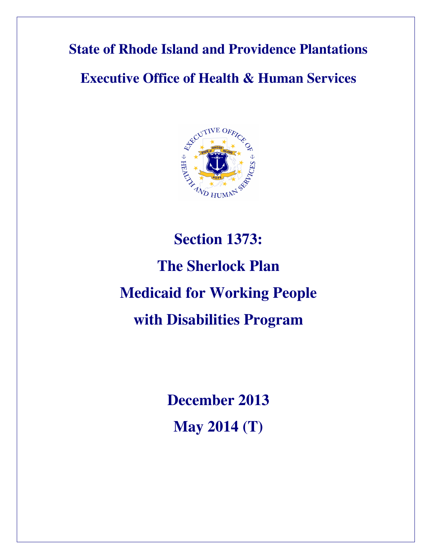**State of Rhode Island and Providence Plantations** 

**Executive Office of Health & Human Services** 



# **Section 1373: The Sherlock Plan Medicaid for Working People with Disabilities Program**

**December 2013 May 2014 (T)**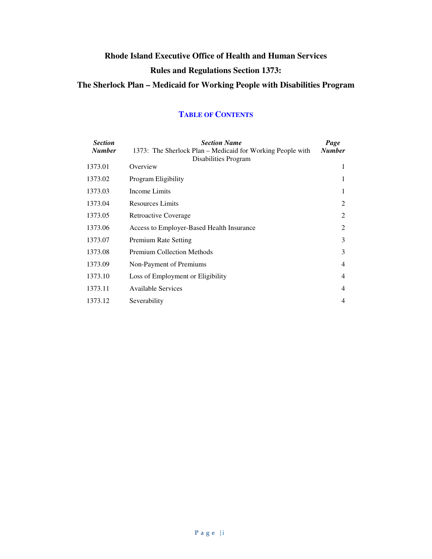# **Rhode Island Executive Office of Health and Human Services Rules and Regulations Section 1373: The Sherlock Plan – Medicaid for Working People with Disabilities Program**

#### *Section Number Section Name*  1373: The Sherlock Plan – Medicaid for Working People with Disabilities Program *Page Number*  1373.01 Overview 1 1373.02 Program Eligibility 1 1373.03 Income Limits 1 1373.04 Resources Limits 2 1373.05 Retroactive Coverage 2 1373.06 Access to Employer-Based Health Insurance 2 1373.07 Premium Rate Setting 3 1373.08 Premium Collection Methods 3 1373.09 Non-Payment of Premiums 4 1373.10 Loss of Employment or Eligibility 4 1373.11 Available Services 4 1373.12 Severability 4

#### **TABLE OF CONTENTS**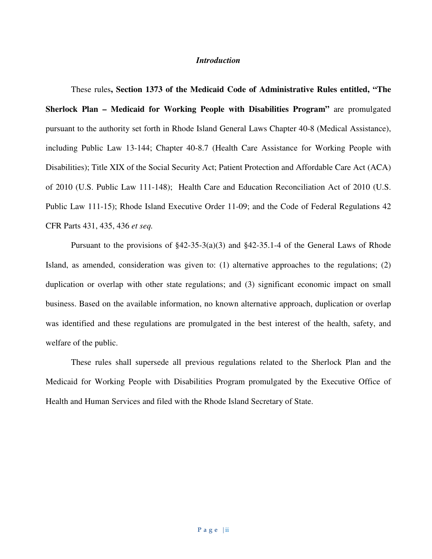#### *Introduction*

These rules**, Section 1373 of the Medicaid Code of Administrative Rules entitled, "The Sherlock Plan – Medicaid for Working People with Disabilities Program"** are promulgated pursuant to the authority set forth in Rhode Island General Laws Chapter 40-8 (Medical Assistance), including Public Law 13-144; Chapter 40-8.7 (Health Care Assistance for Working People with Disabilities); Title XIX of the Social Security Act; Patient Protection and Affordable Care Act (ACA) of 2010 (U.S. Public Law 111-148); Health Care and Education Reconciliation Act of 2010 (U.S. Public Law 111-15); Rhode Island Executive Order 11-09; and the Code of Federal Regulations 42 CFR Parts 431, 435, 436 *et seq.*

Pursuant to the provisions of §42-35-3(a)(3) and §42-35.1-4 of the General Laws of Rhode Island, as amended, consideration was given to: (1) alternative approaches to the regulations; (2) duplication or overlap with other state regulations; and (3) significant economic impact on small business. Based on the available information, no known alternative approach, duplication or overlap was identified and these regulations are promulgated in the best interest of the health, safety, and welfare of the public.

These rules shall supersede all previous regulations related to the Sherlock Plan and the Medicaid for Working People with Disabilities Program promulgated by the Executive Office of Health and Human Services and filed with the Rhode Island Secretary of State.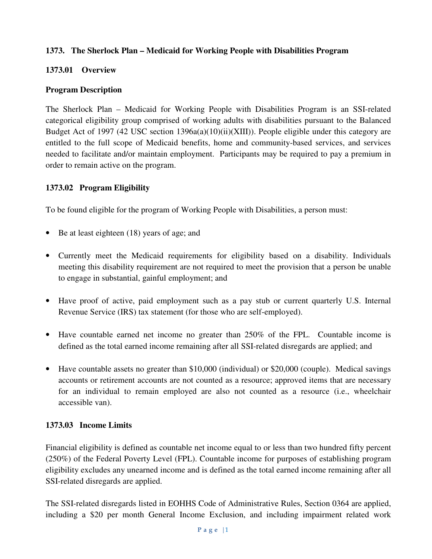#### **1373. The Sherlock Plan – Medicaid for Working People with Disabilities Program**

#### **1373.01 Overview**

#### **Program Description**

The Sherlock Plan – Medicaid for Working People with Disabilities Program is an SSI-related categorical eligibility group comprised of working adults with disabilities pursuant to the Balanced Budget Act of 1997 (42 USC section 1396a(a)(10)(ii)(XIII)). People eligible under this category are entitled to the full scope of Medicaid benefits, home and community-based services, and services needed to facilitate and/or maintain employment. Participants may be required to pay a premium in order to remain active on the program.

#### **1373.02 Program Eligibility**

To be found eligible for the program of Working People with Disabilities, a person must:

- Be at least eighteen (18) years of age; and
- Currently meet the Medicaid requirements for eligibility based on a disability. Individuals meeting this disability requirement are not required to meet the provision that a person be unable to engage in substantial, gainful employment; and
- Have proof of active, paid employment such as a pay stub or current quarterly U.S. Internal Revenue Service (IRS) tax statement (for those who are self-employed).
- Have countable earned net income no greater than 250% of the FPL. Countable income is defined as the total earned income remaining after all SSI-related disregards are applied; and
- Have countable assets no greater than \$10,000 (individual) or \$20,000 (couple). Medical savings accounts or retirement accounts are not counted as a resource; approved items that are necessary for an individual to remain employed are also not counted as a resource (i.e., wheelchair accessible van).

# **1373.03 Income Limits**

Financial eligibility is defined as countable net income equal to or less than two hundred fifty percent (250%) of the Federal Poverty Level (FPL). Countable income for purposes of establishing program eligibility excludes any unearned income and is defined as the total earned income remaining after all SSI-related disregards are applied.

The SSI-related disregards listed in EOHHS Code of Administrative Rules, Section 0364 are applied, including a \$20 per month General Income Exclusion, and including impairment related work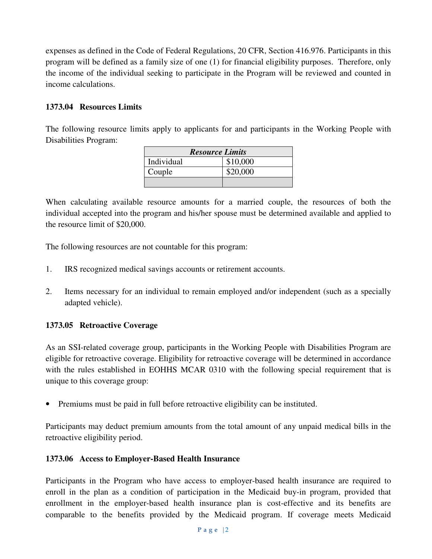expenses as defined in the Code of Federal Regulations, 20 CFR, Section 416.976. Participants in this program will be defined as a family size of one (1) for financial eligibility purposes. Therefore, only the income of the individual seeking to participate in the Program will be reviewed and counted in income calculations.

### **1373.04 Resources Limits**

The following resource limits apply to applicants for and participants in the Working People with Disabilities Program:

| <b>Resource Limits</b> |          |
|------------------------|----------|
| Individual             | \$10,000 |
| Couple                 | \$20,000 |
|                        |          |

When calculating available resource amounts for a married couple, the resources of both the individual accepted into the program and his/her spouse must be determined available and applied to the resource limit of \$20,000.

The following resources are not countable for this program:

- 1. IRS recognized medical savings accounts or retirement accounts.
- 2. Items necessary for an individual to remain employed and/or independent (such as a specially adapted vehicle).

#### **1373.05 Retroactive Coverage**

As an SSI-related coverage group, participants in the Working People with Disabilities Program are eligible for retroactive coverage. Eligibility for retroactive coverage will be determined in accordance with the rules established in EOHHS MCAR 0310 with the following special requirement that is unique to this coverage group:

• Premiums must be paid in full before retroactive eligibility can be instituted.

Participants may deduct premium amounts from the total amount of any unpaid medical bills in the retroactive eligibility period.

#### **1373.06 Access to Employer-Based Health Insurance**

Participants in the Program who have access to employer-based health insurance are required to enroll in the plan as a condition of participation in the Medicaid buy-in program, provided that enrollment in the employer-based health insurance plan is cost-effective and its benefits are comparable to the benefits provided by the Medicaid program. If coverage meets Medicaid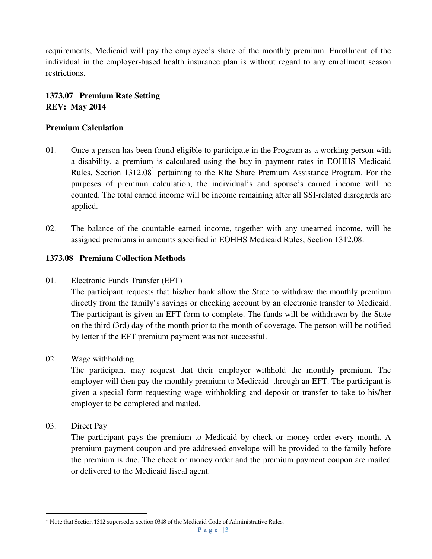requirements, Medicaid will pay the employee's share of the monthly premium. Enrollment of the individual in the employer-based health insurance plan is without regard to any enrollment season restrictions.

# **1373.07 Premium Rate Setting REV: May 2014**

#### **Premium Calculation**

- 01. Once a person has been found eligible to participate in the Program as a working person with a disability, a premium is calculated using the buy-in payment rates in EOHHS Medicaid Rules, Section  $1312.08<sup>1</sup>$  pertaining to the RIte Share Premium Assistance Program. For the purposes of premium calculation, the individual's and spouse's earned income will be counted. The total earned income will be income remaining after all SSI-related disregards are applied.
- 02. The balance of the countable earned income, together with any unearned income, will be assigned premiums in amounts specified in EOHHS Medicaid Rules, Section 1312.08.

#### **1373.08 Premium Collection Methods**

01. Electronic Funds Transfer (EFT)

The participant requests that his/her bank allow the State to withdraw the monthly premium directly from the family's savings or checking account by an electronic transfer to Medicaid. The participant is given an EFT form to complete. The funds will be withdrawn by the State on the third (3rd) day of the month prior to the month of coverage. The person will be notified by letter if the EFT premium payment was not successful.

#### 02. Wage withholding

The participant may request that their employer withhold the monthly premium. The employer will then pay the monthly premium to Medicaid through an EFT. The participant is given a special form requesting wage withholding and deposit or transfer to take to his/her employer to be completed and mailed.

03. Direct Pay

 $\overline{a}$ 

The participant pays the premium to Medicaid by check or money order every month. A premium payment coupon and pre-addressed envelope will be provided to the family before the premium is due. The check or money order and the premium payment coupon are mailed or delivered to the Medicaid fiscal agent.

 $^1$  Note that Section 1312 supersedes section 0348 of the Medicaid Code of Administrative Rules.